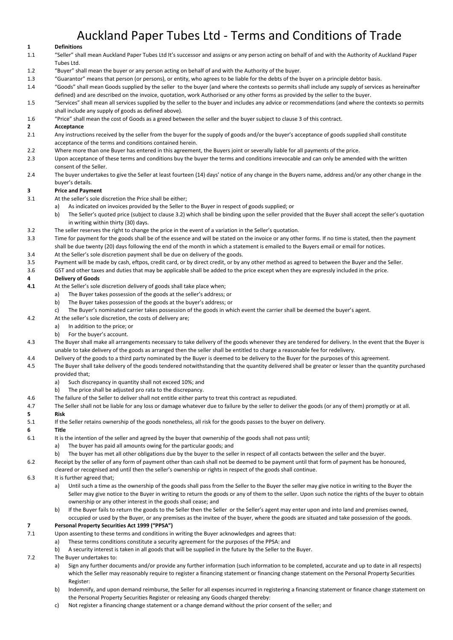# Auckland Paper Tubes Ltd - Terms and Conditions of Trade

# **1 Definitions**

- 1.1 "Seller" shall mean Auckland Paper Tubes Ltd It's successor and assigns or any person acting on behalf of and with the Authority of Auckland Paper Tubes Ltd.
- 1.2 "Buyer" shall mean the buyer or any person acting on behalf of and with the Authority of the buyer.
- 1.3 "Guarantor" means that person (or persons), or entity, who agrees to be liable for the debts of the buyer on a principle debtor basis.
- 1.4 "Goods" shall mean Goods supplied by the seller to the buyer (and where the contexts so permits shall include any supply of services as hereinafter defined) and are described on the invoice, quotation, work Authorised or any other forms as provided by the seller to the buyer.
- 1.5 "Services" shall mean all services supplied by the seller to the buyer and includes any advice or recommendations (and where the contexts so permits shall include any supply of goods as defined above).
- 1.6 "Price" shall mean the cost of Goods as a greed between the seller and the buyer subject to clause 3 of this contract.

# **2 Acceptance**

- 2.1 Any instructions received by the seller from the buyer for the supply of goods and/or the buyer's acceptance of goods supplied shall constitute acceptance of the terms and conditions contained herein.
- 2.2 Where more than one Buyer has entered in this agreement, the Buyers joint or severally liable for all payments of the price.
- 2.3 Upon acceptance of these terms and conditions buy the buyer the terms and conditions irrevocable and can only be amended with the written consent of the Seller.
- 2.4 The buyer undertakes to give the Seller at least fourteen (14) days' notice of any change in the Buyers name, address and/or any other change in the buyer's details.

# **3 Price and Payment**

- 3.1 At the seller's sole discretion the Price shall be either;
	- a) As indicated on invoices provided by the Seller to the Buyer in respect of goods supplied; or
		- b) The Seller's quoted price (subject to clause 3.2) which shall be binding upon the seller provided that the Buyer shall accept the seller's quotation in writing within thirty (30) days.
- 3.2 The seller reserves the right to change the price in the event of a variation in the Seller's quotation.
- 3.3 Time for payment for the goods shall be of the essence and will be stated on the invoice or any other forms. If no time is stated, then the payment shall be due twenty (20) days following the end of the month in which a statement is emailed to the Buyers email or email for notices.
- 3.4 At the Seller's sole discretion payment shall be due on delivery of the goods.
- 3.5 Payment will be made by cash, eftpos, credit card, or by direct credit, or by any other method as agreed to between the Buyer and the Seller.
- 3.6 GST and other taxes and duties that may be applicable shall be added to the price except when they are expressly included in the price.

# **4 Delivery of Goods**

- **4.1** At the Seller's sole discretion delivery of goods shall take place when;
	- a) The Buyer takes possession of the goods at the seller's address; or
	- b) The Buyer takes possession of the goods at the buyer's address; or
	- c) The Buyer's nominated carrier takes possession of the goods in which event the carrier shall be deemed the buyer's agent.
- 4.2 At the seller's sole discretion, the costs of delivery are;
	- a) In addition to the price; or
	- b) For the buyer's account.
- 4.3 The Buyer shall make all arrangements necessary to take delivery of the goods whenever they are tendered for delivery. In the event that the Buyer is unable to take delivery of the goods as arranged then the seller shall be entitled to charge a reasonable fee for redelivery.
- 4.4 Delivery of the goods to a third party nominated by the Buyer is deemed to be delivery to the Buyer for the purposes of this agreement.
- 4.5 The Buyer shall take delivery of the goods tendered notwithstanding that the quantity delivered shall be greater or lesser than the quantity purchased provided that;
	- a) Such discrepancy in quantity shall not exceed 10%; and
	- b) The price shall be adjusted pro rata to the discrepancy.
- 4.6 The failure of the Seller to deliver shall not entitle either party to treat this contract as repudiated.
- 4.7 The Seller shall not be liable for any loss or damage whatever due to failure by the seller to deliver the goods (or any of them) promptly or at all. **5 Risk**
- 5.1 If the Seller retains ownership of the goods nonetheless, all risk for the goods passes to the buyer on delivery.

#### **6 Title**

- 6.1 It is the intention of the seller and agreed by the buyer that ownership of the goods shall not pass until;
	- a) The buyer has paid all amounts owing for the particular goods; and
	- b) The buyer has met all other obligations due by the buyer to the seller in respect of all contacts between the seller and the buyer.
- 6.2 Receipt by the seller of any form of payment other than cash shall not be deemed to be payment until that form of payment has be honoured,
	- cleared or recognised and until then the seller's ownership or rights in respect of the goods shall continue.

#### 6.3 It is further agreed that;

- a) Until such a time as the ownership of the goods shall pass from the Seller to the Buyer the seller may give notice in writing to the Buyer the Seller may give notice to the Buyer in writing to return the goods or any of them to the seller. Upon such notice the rights of the buyer to obtain ownership or any other interest in the goods shall cease; and
- b) If the Buyer fails to return the goods to the Seller then the Seller or the Seller's agent may enter upon and into land and premises owned, occupied or used by the Buyer, or any premises as the invitee of the buyer, where the goods are situated and take possession of the goods.

# **7 Personal Property Securities Act 1999 ("PPSA")**

- 7.1 Upon assenting to these terms and conditions in writing the Buyer acknowledges and agrees that:
	- a) These terms conditions constitute a security agreement for the purposes of the PPSA: and
		- b) A security interest is taken in all goods that will be supplied in the future by the Seller to the Buyer.

7.2 The Buyer undertakes to:

- a) Sign any further documents and/or provide any further information (such information to be completed, accurate and up to date in all respects) which the Seller may reasonably require to register a financing statement or financing change statement on the Personal Property Securities Register:
- b) Indemnify, and upon demand reimburse, the Seller for all expenses incurred in registering a financing statement or finance change statement on the Personal Property Securities Register or releasing any Goods charged thereby:
- c) Not register a financing change statement or a change demand without the prior consent of the seller; and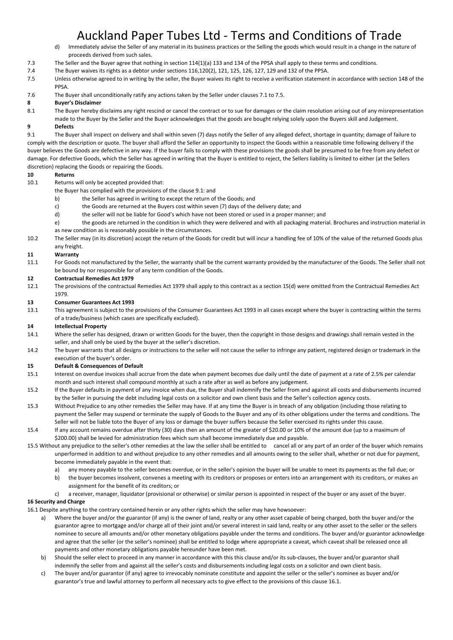# Auckland Paper Tubes Ltd - Terms and Conditions of Trade<br>d) Immediately advise the Seller of any material in its business practices or the Selling the goods which would result in a change in the nat

- Immediately advise the Seller of any material in its business practices or the Selling the goods which would result in a change in the nature of proceeds derived from such sales.
- 7.3 The Seller and the Buyer agree that nothing in section 114(1)(a) 133 and 134 of the PPSA shall apply to these terms and conditions.
- 7.4 The Buyer waives its rights as a debtor under sections 116,120(2), 121, 125, 126, 127, 129 and 132 of the PPSA.
- 7.5 Unless otherwise agreed to in writing by the seller, the Buyer waives its right to receive a verification statement in accordance with section 148 of the PPSA.
- 7.6 The Buyer shall unconditionally ratify any actions taken by the Seller under clauses 7.1 to 7.5.

# **8 Buyer's Disclaimer**

- 8.1 The Buyer hereby disclaims any right rescind or cancel the contract or to sue for damages or the claim resolution arising out of any misrepresentation
- made to the Buyer by the Seller and the Buyer acknowledges that the goods are bought relying solely upon the Buyers skill and Judgement. **9 Defects**

9.1 The Buyer shall inspect on delivery and shall within seven (7) days notify the Seller of any alleged defect, shortage in quantity; damage of failure to comply with the description or quote. The buyer shall afford the Seller an opportunity to inspect the Goods within a reasonable time following delivery if the buyer believes the Goods are defective in any way. If the buyer fails to comply with these provisions the goods shall be presumed to be free from any defect or damage. For defective Goods, which the Seller has agreed in writing that the Buyer is entitled to reject, the Sellers liability is limited to either (at the Sellers discretion) replacing the Goods or repairing the Goods.

# **10 Returns**

- 10.1 Returns will only be accepted provided that:
	- the Buyer has complied with the provisions of the clause 9.1: and
		- b) the Seller has agreed in writing to except the return of the Goods; and
		- c) the Goods are returned at the Buyers cost within seven (7) days of the delivery date; and
		- d) the seller will not be liable for Good's which have not been stored or used in a proper manner; and
	- e) the goods are returned in the condition in which they were delivered and with all packaging material. Brochures and instruction material in as new condition as is reasonably possible in the circumstances.
- 10.2 The Seller may (in its discretion) accept the return of the Goods for credit but will incur a handling fee of 10% of the value of the returned Goods plus any freight.

#### **11 Warranty**

11.1 For Goods not manufactured by the Seller, the warranty shall be the current warranty provided by the manufacturer of the Goods. The Seller shall not be bound by nor responsible for of any term condition of the Goods.

#### **12 Contractual Remedies Act 1979**

12.1 The provisions of the contractual Remedies Act 1979 shall apply to this contract as a section 15(d) were omitted from the Contractual Remedies Act 1979.

#### **13 Consumer Guarantees Act 1993**

13.1 This agreement is subject to the provisions of the Consumer Guarantees Act 1993 in all cases except where the buyer is contracting within the terms of a trade/business (which cases are specifically excluded).

#### **14 Intellectual Property**

- 14.1 Where the seller has designed, drawn or written Goods for the buyer, then the copyright in those designs and drawings shall remain vested in the seller, and shall only be used by the buyer at the seller's discretion.
- 14.2 The buyer warrants that all designs or instructions to the seller will not cause the seller to infringe any patient, registered design or trademark in the execution of the buyer's order.

#### **15 Default & Consequences of Default**

- 15.1 Interest on overdue invoices shall accrue from the date when payment becomes due daily until the date of payment at a rate of 2.5% per calendar month and such interest shall compound monthly at such a rate after as well as before any judgement.
- 15.2 If the Buyer defaults in payment of any invoice when due, the Buyer shall indemnify the Seller from and against all costs and disbursements incurred by the Seller in pursuing the debt including legal costs on a solicitor and own client basis and the Seller's collection agency costs.
- 15.3 Without Prejudice to any other remedies the Seller may have. If at any time the Buyer is in breach of any obligation (including those relating to payment the Seller may suspend or terminate the supply of Goods to the Buyer and any of its other obligations under the terms and conditions. The Seller will not be liable toto the Buyer of any loss or damage the buyer suffers because the Seller exercised its rights under this cause.
- 15.4 If any account remains overdue after thirty (30) days then an amount of the greater of \$20.00 or 10% of the amount due (up to a maximum of \$200.00) shall be levied for administration fees which sum shall become immediately due and payable.
- 15.5 Without any prejudice to the seller's other remedies at the law the seller shall be entitled to cancel all or any part of an order of the buyer which remains unperformed in addition to and without prejudice to any other remedies and all amounts owing to the seller shall, whether or not due for payment, become immediately payable in the event that:
	- a) any money payable to the seller becomes overdue, or in the seller's opinion the buyer will be unable to meet its payments as the fall due; or
	- b) the buyer becomes insolvent, convenes a meeting with its creditors or proposes or enters into an arrangement with its creditors, or makes an assignment for the benefit of its creditors; or
	- c) a receiver, manager, liquidator (provisional or otherwise) or similar person is appointed in respect of the buyer or any asset of the buyer.

#### **16 Security and Charge**

- 16.1 Despite anything to the contrary contained herein or any other rights which the seller may have howsoever:
	- a) Where the buyer and/or the guarantor (if any) is the owner of land, realty or any other asset capable of being charged, both the buyer and/or the guarantor agree to mortgage and/or charge all of their joint and/or several interest in said land, realty or any other asset to the seller or the sellers nominee to secure all amounts and/or other monetary obligations payable under the terms and conditions. The buyer and/or guarantor acknowledge and agree that the seller (or the seller's nominee) shall be entitled to lodge where appropriate a caveat, which caveat shall be released once all payments and other monetary obligations payable hereunder have been met.
	- b) Should the seller elect to proceed in any manner in accordance with this this clause and/or its sub-clauses, the buyer and/or guarantor shall indemnify the seller from and against all the seller's costs and disbursements including legal costs on a solicitor and own client basis.
	- c) The buyer and/or guarantor (if any) agree to irrevocably nominate constitute and appoint the seller or the seller's nominee as buyer and/or guarantor's true and lawful attorney to perform all necessary acts to give effect to the provisions of this clause 16.1.